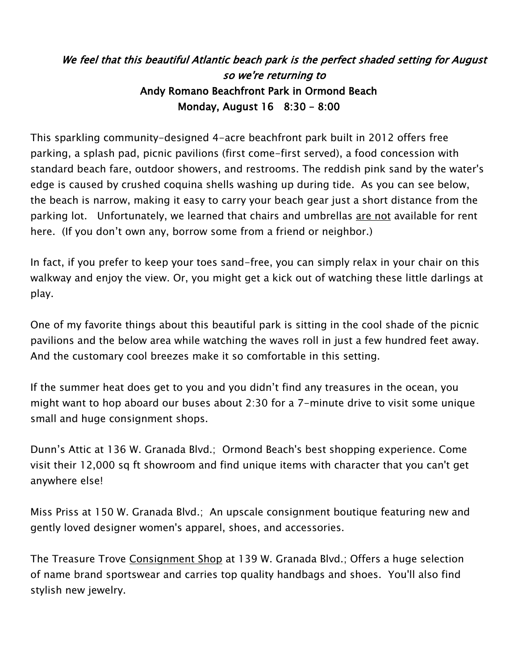## We feel that this beautiful Atlantic beach park is the perfect shaded setting for August so we're returning to Andy Romano Beachfront Park in Ormond Beach Monday, August 16 8:30 – 8:00

This sparkling community-designed 4-acre beachfront park built in 2012 offers free parking, a splash pad, picnic pavilions (first come-first served), a food concession with standard beach fare, outdoor showers, and restrooms. The reddish pink sand by the water's edge is caused by crushed coquina shells washing up during tide. As you can see below, the beach is narrow, making it easy to carry your beach gear just a short distance from the parking lot. Unfortunately, we learned that chairs and umbrellas are not available for rent here. (If you don't own any, borrow some from a friend or neighbor.)

In fact, if you prefer to keep your toes sand-free, you can simply relax in your chair on this walkway and enjoy the view. Or, you might get a kick out of watching these little darlings at play.

One of my favorite things about this beautiful park is sitting in the cool shade of the picnic pavilions and the below area while watching the waves roll in just a few hundred feet away. And the customary cool breezes make it so comfortable in this setting.

If the summer heat does get to you and you didn't find any treasures in the ocean, you might want to hop aboard our buses about 2:30 for a 7-minute drive to visit some unique small and huge consignment shops.

Dunn's Attic at 136 W. Granada Blvd.; Ormond Beach's best shopping experience. Come visit their 12,000 sq ft showroom and find unique items with character that you can't get anywhere else!

Miss Priss at 150 W. Granada Blvd.; An upscale consignment boutique featuring new and gently loved designer women's apparel, shoes, and accessories.

The Treasure Trove Consignment Shop at 139 W. Granada Blvd.; Offers a huge selection of name brand sportswear and carries top quality handbags and shoes. You'll also find stylish new jewelry.